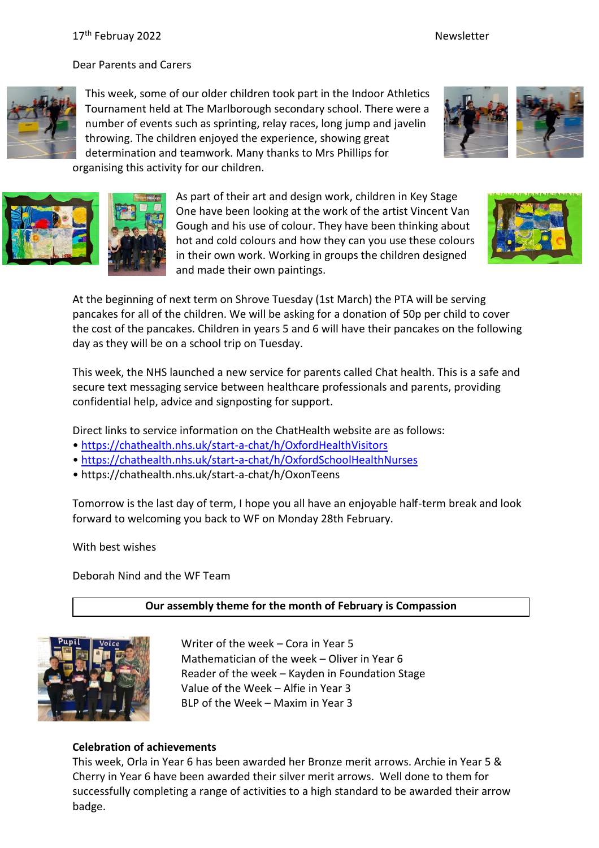Dear Parents and Carers



This week, some of our older children took part in the Indoor Athletics Tournament held at The Marlborough secondary school. There were a number of events such as sprinting, relay races, long jump and javelin throwing. The children enjoyed the experience, showing great determination and teamwork. Many thanks to Mrs Phillips for organising this activity for our children.





As part of their art and design work, children in Key Stage One have been looking at the work of the artist Vincent Van Gough and his use of colour. They have been thinking about hot and cold colours and how they can you use these colours in their own work. Working in groups the children designed and made their own paintings.



At the beginning of next term on Shrove Tuesday (1st March) the PTA will be serving pancakes for all of the children. We will be asking for a donation of 50p per child to cover the cost of the pancakes. Children in years 5 and 6 will have their pancakes on the following day as they will be on a school trip on Tuesday.

This week, the NHS launched a new service for parents called Chat health. This is a safe and secure text messaging service between healthcare professionals and parents, providing confidential help, advice and signposting for support.

Direct links to service information on the ChatHealth website are as follows:

- <https://chathealth.nhs.uk/start-a-chat/h/OxfordHealthVisitors>
- <https://chathealth.nhs.uk/start-a-chat/h/OxfordSchoolHealthNurses>
- https://chathealth.nhs.uk/start-a-chat/h/OxonTeens

Tomorrow is the last day of term, I hope you all have an enjoyable half-term break and look forward to welcoming you back to WF on Monday 28th February.

With best wishes

Deborah Nind and the WF Team

## **Our assembly theme for the month of February is Compassion**



Writer of the week – Cora in Year 5 Mathematician of the week – Oliver in Year 6 Reader of the week – Kayden in Foundation Stage Value of the Week – Alfie in Year 3 BLP of the Week – Maxim in Year 3

## **Celebration of achievements**

This week, Orla in Year 6 has been awarded her Bronze merit arrows. Archie in Year 5 & Cherry in Year 6 have been awarded their silver merit arrows. Well done to them for successfully completing a range of activities to a high standard to be awarded their arrow badge.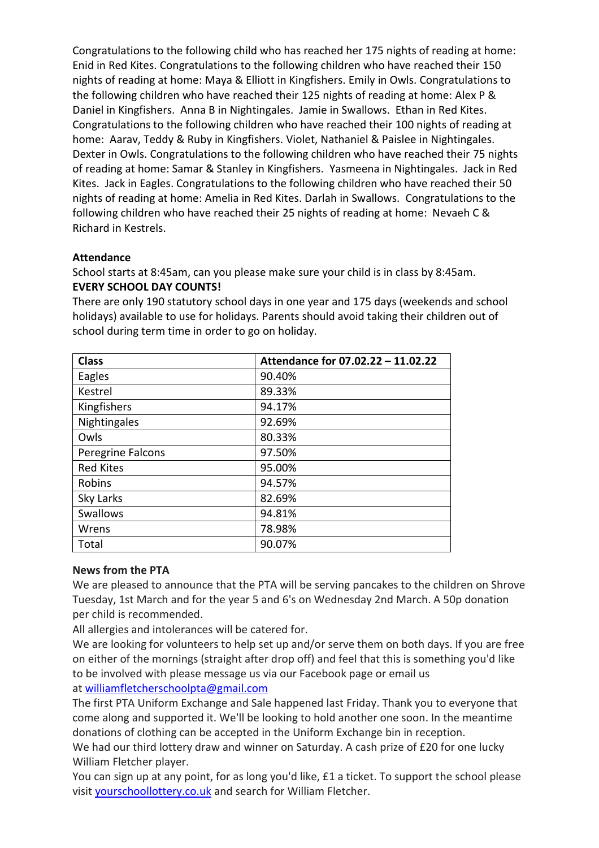Congratulations to the following child who has reached her 175 nights of reading at home: Enid in Red Kites. Congratulations to the following children who have reached their 150 nights of reading at home: Maya & Elliott in Kingfishers. Emily in Owls. Congratulations to the following children who have reached their 125 nights of reading at home: Alex P & Daniel in Kingfishers. Anna B in Nightingales. Jamie in Swallows. Ethan in Red Kites. Congratulations to the following children who have reached their 100 nights of reading at home: Aarav, Teddy & Ruby in Kingfishers. Violet, Nathaniel & Paislee in Nightingales. Dexter in Owls. Congratulations to the following children who have reached their 75 nights of reading at home: Samar & Stanley in Kingfishers. Yasmeena in Nightingales. Jack in Red Kites. Jack in Eagles. Congratulations to the following children who have reached their 50 nights of reading at home: Amelia in Red Kites. Darlah in Swallows. Congratulations to the following children who have reached their 25 nights of reading at home: Nevaeh C & Richard in Kestrels.

## **Attendance**

School starts at 8:45am, can you please make sure your child is in class by 8:45am. **EVERY SCHOOL DAY COUNTS!**

There are only 190 statutory school days in one year and 175 days (weekends and school holidays) available to use for holidays. Parents should avoid taking their children out of school during term time in order to go on holiday.

| <b>Class</b>      | Attendance for 07.02.22 - 11.02.22 |
|-------------------|------------------------------------|
| Eagles            | 90.40%                             |
| Kestrel           | 89.33%                             |
| Kingfishers       | 94.17%                             |
| Nightingales      | 92.69%                             |
| Owls              | 80.33%                             |
| Peregrine Falcons | 97.50%                             |
| <b>Red Kites</b>  | 95.00%                             |
| Robins            | 94.57%                             |
| Sky Larks         | 82.69%                             |
| Swallows          | 94.81%                             |
| Wrens             | 78.98%                             |
| Total             | 90.07%                             |

# **News from the PTA**

We are pleased to announce that the PTA will be serving pancakes to the children on Shrove Tuesday, 1st March and for the year 5 and 6's on Wednesday 2nd March. A 50p donation per child is recommended.

All allergies and intolerances will be catered for.

We are looking for volunteers to help set up and/or serve them on both days. If you are free on either of the mornings (straight after drop off) and feel that this is something you'd like to be involved with please message us via our Facebook page or email us at [williamfletcherschoolpta@gmail.com](mailto:williamfletcherschoolpta@gmail.com)

The first PTA Uniform Exchange and Sale happened last Friday. Thank you to everyone that come along and supported it. We'll be looking to hold another one soon. In the meantime donations of clothing can be accepted in the Uniform Exchange bin in reception.

We had our third lottery draw and winner on Saturday. A cash prize of £20 for one lucky William Fletcher player.

You can sign up at any point, for as long you'd like, £1 a ticket. To support the school please visit [yourschoollottery.co.uk](http://yourschoollottery.co.uk/) and search for William Fletcher.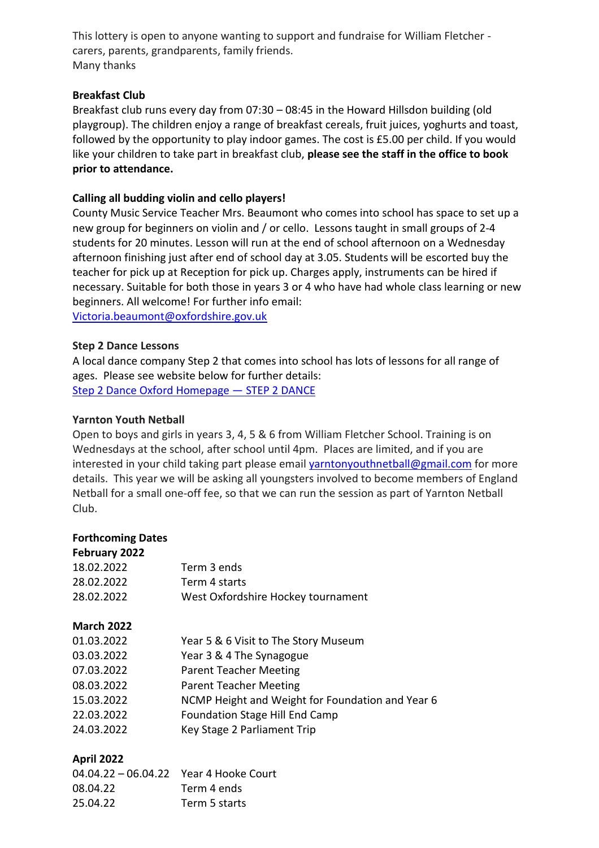This lottery is open to anyone wanting to support and fundraise for William Fletcher carers, parents, grandparents, family friends. Many thanks

## **Breakfast Club**

Breakfast club runs every day from 07:30 – 08:45 in the Howard Hillsdon building (old playgroup). The children enjoy a range of breakfast cereals, fruit juices, yoghurts and toast, followed by the opportunity to play indoor games. The cost is £5.00 per child. If you would like your children to take part in breakfast club, **please see the staff in the office to book prior to attendance.**

## **Calling all budding violin and cello players!**

County Music Service Teacher Mrs. Beaumont who comes into school has space to set up a new group for beginners on violin and / or cello. Lessons taught in small groups of 2-4 students for 20 minutes. Lesson will run at the end of school afternoon on a Wednesday afternoon finishing just after end of school day at 3.05. Students will be escorted buy the teacher for pick up at Reception for pick up. Charges apply, instruments can be hired if necessary. Suitable for both those in years 3 or 4 who have had whole class learning or new beginners. All welcome! For further info email: [Victoria.beaumont@oxfordshire.gov.uk](mailto:Victoria.beaumont@oxfordshire.gov.uk)

### **Step 2 Dance Lessons**

A local dance company Step 2 that comes into school has lots of lessons for all range of ages. Please see website below for further details: [Step 2 Dance Oxford Homepage](https://www.step2dance.co.uk/home) - STEP 2 DANCE

### **Yarnton Youth Netball**

Open to boys and girls in years 3, 4, 5 & 6 from William Fletcher School. Training is on Wednesdays at the school, after school until 4pm. Places are limited, and if you are interested in your child taking part please email [yarntonyouthnetball@gmail.com](mailto:yarntonyouthnetball@gmail.com) for more details. This year we will be asking all youngsters involved to become members of England Netball for a small one-off fee, so that we can run the session as part of Yarnton Netball Club.

### **Forthcoming Dates**

| February 2022     |                                                  |
|-------------------|--------------------------------------------------|
| 18.02.2022        | Term 3 ends                                      |
| 28.02.2022        | Term 4 starts                                    |
| 28.02.2022        | West Oxfordshire Hockey tournament               |
| <b>March 2022</b> |                                                  |
| 01.03.2022        | Year 5 & 6 Visit to The Story Museum             |
| 03.03.2022        | Year 3 & 4 The Synagogue                         |
| 07.03.2022        | <b>Parent Teacher Meeting</b>                    |
| 08.03.2022        | <b>Parent Teacher Meeting</b>                    |
| 15.03.2022        | NCMP Height and Weight for Foundation and Year 6 |
| 22.03.2022        | <b>Foundation Stage Hill End Camp</b>            |
| 24.03.2022        | Key Stage 2 Parliament Trip                      |
|                   |                                                  |

### **April 2022**

| 04.04.22 - 06.04.22 Year 4 Hooke Court |               |
|----------------------------------------|---------------|
| 08.04.22                               | Term 4 ends   |
| 25.04.22                               | Term 5 starts |